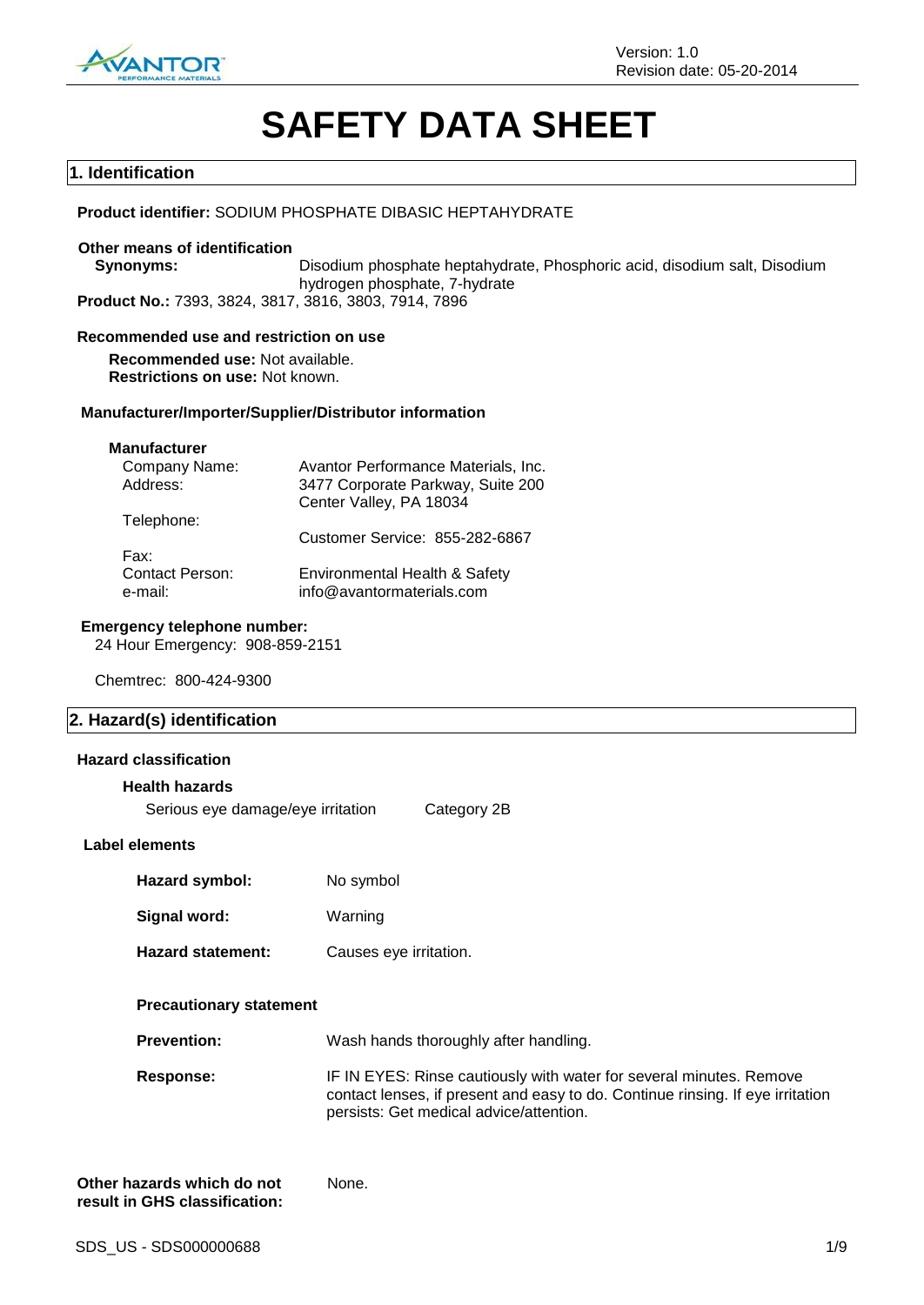

# **SAFETY DATA SHEET**

#### **1. Identification**

#### **Product identifier:** SODIUM PHOSPHATE DIBASIC HEPTAHYDRATE

#### **Other means of identification**

**Synonyms:** Disodium phosphate heptahydrate, Phosphoric acid, disodium salt, Disodium hydrogen phosphate, 7-hydrate **Product No.:** 7393, 3824, 3817, 3816, 3803, 7914, 7896

#### **Recommended use and restriction on use**

**Recommended use:** Not available. **Restrictions on use:** Not known.

#### **Manufacturer/Importer/Supplier/Distributor information**

### **Manufacturer**

| Company Name:          | Avantor Performance Materials, Inc. |
|------------------------|-------------------------------------|
| Address:               | 3477 Corporate Parkway, Suite 200   |
|                        | Center Valley, PA 18034             |
| Telephone:             |                                     |
|                        | Customer Service: 855-282-6867      |
| Fax:                   |                                     |
| <b>Contact Person:</b> | Environmental Health & Safety       |
| e-mail:                | info@avantormaterials.com           |
|                        |                                     |

#### **Emergency telephone number:**

24 Hour Emergency: 908-859-2151

Chemtrec: 800-424-9300

#### **2. Hazard(s) identification**

#### **Hazard classification**

#### **Health hazards**

Serious eye damage/eye irritation Category 2B

#### **Label elements**

| Hazard symbol:           | No symbol              |
|--------------------------|------------------------|
| Signal word:             | Warning                |
| <b>Hazard statement:</b> | Causes eye irritation. |

#### **Precautionary statement**

**Prevention:** Wash hands thoroughly after handling.

**Response:** IF IN EYES: Rinse cautiously with water for several minutes. Remove contact lenses, if present and easy to do. Continue rinsing. If eye irritation persists: Get medical advice/attention.

| Other hazards which do not    | None. |
|-------------------------------|-------|
| result in GHS classification: |       |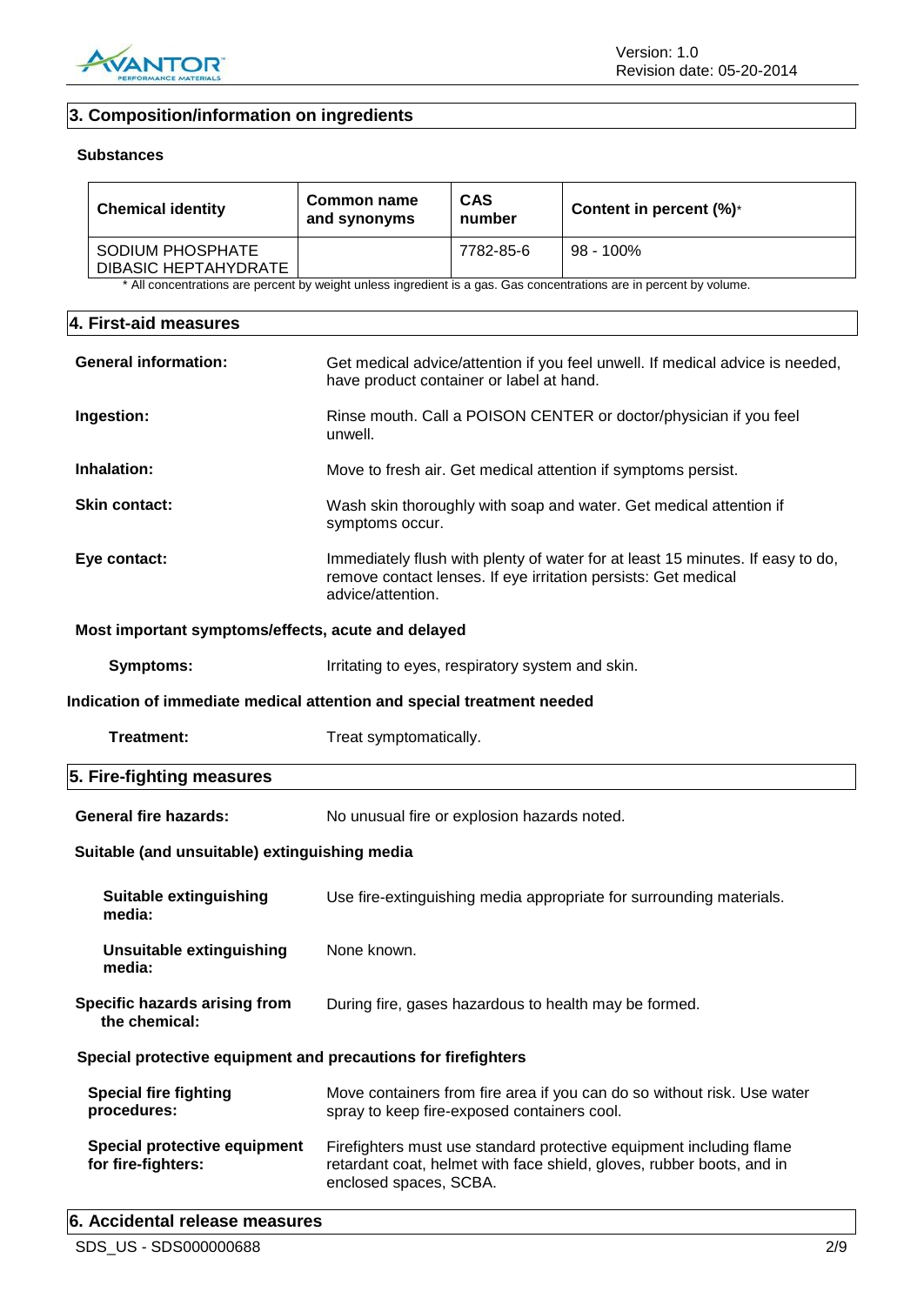

# **3. Composition/information on ingredients**

#### **Substances**

| <b>Chemical identity</b>                        | Common name<br>and synonyms | <b>CAS</b><br>number | Content in percent $(\%)^*$ |
|-------------------------------------------------|-----------------------------|----------------------|-----------------------------|
| SODIUM PHOSPHATE<br><b>DIBASIC HEPTAHYDRATE</b> |                             | 7782-85-6            | $98 - 100\%$                |

\* All concentrations are percent by weight unless ingredient is a gas. Gas concentrations are in percent by volume.

# **4. First-aid measures**

| <b>General information:</b>                                   | Get medical advice/attention if you feel unwell. If medical advice is needed,<br>have product container or label at hand.                                             |
|---------------------------------------------------------------|-----------------------------------------------------------------------------------------------------------------------------------------------------------------------|
| Ingestion:                                                    | Rinse mouth. Call a POISON CENTER or doctor/physician if you feel<br>unwell.                                                                                          |
| Inhalation:                                                   | Move to fresh air. Get medical attention if symptoms persist.                                                                                                         |
| <b>Skin contact:</b>                                          | Wash skin thoroughly with soap and water. Get medical attention if<br>symptoms occur.                                                                                 |
| Eye contact:                                                  | Immediately flush with plenty of water for at least 15 minutes. If easy to do,<br>remove contact lenses. If eye irritation persists: Get medical<br>advice/attention. |
| Most important symptoms/effects, acute and delayed            |                                                                                                                                                                       |
| <b>Symptoms:</b>                                              | Irritating to eyes, respiratory system and skin.                                                                                                                      |
|                                                               | Indication of immediate medical attention and special treatment needed                                                                                                |
| Treatment:                                                    | Treat symptomatically.                                                                                                                                                |
| 5. Fire-fighting measures                                     |                                                                                                                                                                       |
| <b>General fire hazards:</b>                                  | No unusual fire or explosion hazards noted.                                                                                                                           |
| Suitable (and unsuitable) extinguishing media                 |                                                                                                                                                                       |
| <b>Suitable extinguishing</b><br>media:                       | Use fire-extinguishing media appropriate for surrounding materials.                                                                                                   |
| <b>Unsuitable extinguishing</b><br>media:                     | None known.                                                                                                                                                           |
| Specific hazards arising from<br>the chemical:                | During fire, gases hazardous to health may be formed.                                                                                                                 |
| Special protective equipment and precautions for firefighters |                                                                                                                                                                       |
| <b>Special fire fighting</b><br>procedures:                   | Move containers from fire area if you can do so without risk. Use water<br>spray to keep fire-exposed containers cool.                                                |
| Special protective equipment<br>for fire-fighters:            | Firefighters must use standard protective equipment including flame<br>retardant coat, helmet with face shield, gloves, rubber boots, and in                          |
|                                                               | enclosed spaces, SCBA.                                                                                                                                                |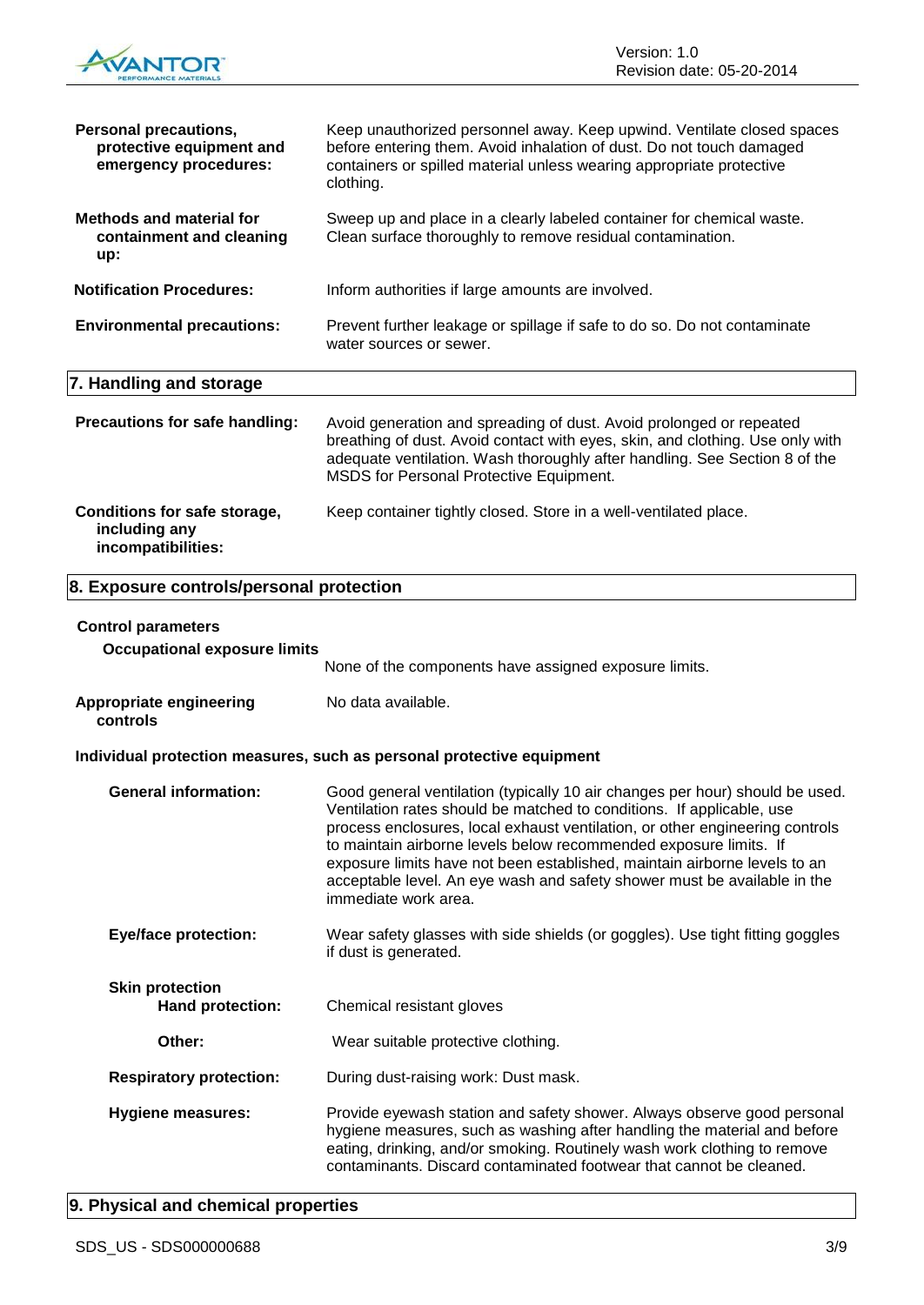

| <b>Personal precautions,</b><br>protective equipment and<br>emergency procedures: | Keep unauthorized personnel away. Keep upwind. Ventilate closed spaces<br>before entering them. Avoid inhalation of dust. Do not touch damaged<br>containers or spilled material unless wearing appropriate protective<br>clothing.                                           |
|-----------------------------------------------------------------------------------|-------------------------------------------------------------------------------------------------------------------------------------------------------------------------------------------------------------------------------------------------------------------------------|
| <b>Methods and material for</b><br>containment and cleaning<br>up:                | Sweep up and place in a clearly labeled container for chemical waste.<br>Clean surface thoroughly to remove residual contamination.                                                                                                                                           |
| <b>Notification Procedures:</b>                                                   | Inform authorities if large amounts are involved.                                                                                                                                                                                                                             |
| <b>Environmental precautions:</b>                                                 | Prevent further leakage or spillage if safe to do so. Do not contaminate<br>water sources or sewer.                                                                                                                                                                           |
| 7. Handling and storage                                                           |                                                                                                                                                                                                                                                                               |
| Precautions for safe handling:                                                    | Avoid generation and spreading of dust. Avoid prolonged or repeated<br>breathing of dust. Avoid contact with eyes, skin, and clothing. Use only with<br>adequate ventilation. Wash thoroughly after handling. See Section 8 of the<br>MSDS for Personal Protective Equipment. |
| Conditions for safe storage,<br>including any<br>incompatibilities:               | Keep container tightly closed. Store in a well-ventilated place.                                                                                                                                                                                                              |
| 8. Exposure controls/personal protection                                          |                                                                                                                                                                                                                                                                               |
| <b>Control parameters</b>                                                         |                                                                                                                                                                                                                                                                               |
| <b>Occupational exposure limits</b>                                               | None of the components have assigned exposure limits.                                                                                                                                                                                                                         |

**Appropriate engineering controls** No data available.

## **Individual protection measures, such as personal protective equipment**

| <b>General information:</b>                       | Good general ventilation (typically 10 air changes per hour) should be used.<br>Ventilation rates should be matched to conditions. If applicable, use<br>process enclosures, local exhaust ventilation, or other engineering controls<br>to maintain airborne levels below recommended exposure limits. If<br>exposure limits have not been established, maintain airborne levels to an<br>acceptable level. An eye wash and safety shower must be available in the<br>immediate work area. |
|---------------------------------------------------|---------------------------------------------------------------------------------------------------------------------------------------------------------------------------------------------------------------------------------------------------------------------------------------------------------------------------------------------------------------------------------------------------------------------------------------------------------------------------------------------|
| <b>Eye/face protection:</b>                       | Wear safety glasses with side shields (or goggles). Use tight fitting goggles<br>if dust is generated.                                                                                                                                                                                                                                                                                                                                                                                      |
| <b>Skin protection</b><br><b>Hand protection:</b> | Chemical resistant gloves                                                                                                                                                                                                                                                                                                                                                                                                                                                                   |
| Other:                                            | Wear suitable protective clothing.                                                                                                                                                                                                                                                                                                                                                                                                                                                          |
| <b>Respiratory protection:</b>                    | During dust-raising work: Dust mask.                                                                                                                                                                                                                                                                                                                                                                                                                                                        |
| <b>Hygiene measures:</b>                          | Provide eyewash station and safety shower. Always observe good personal<br>hygiene measures, such as washing after handling the material and before<br>eating, drinking, and/or smoking. Routinely wash work clothing to remove<br>contaminants. Discard contaminated footwear that cannot be cleaned.                                                                                                                                                                                      |

# **9. Physical and chemical properties**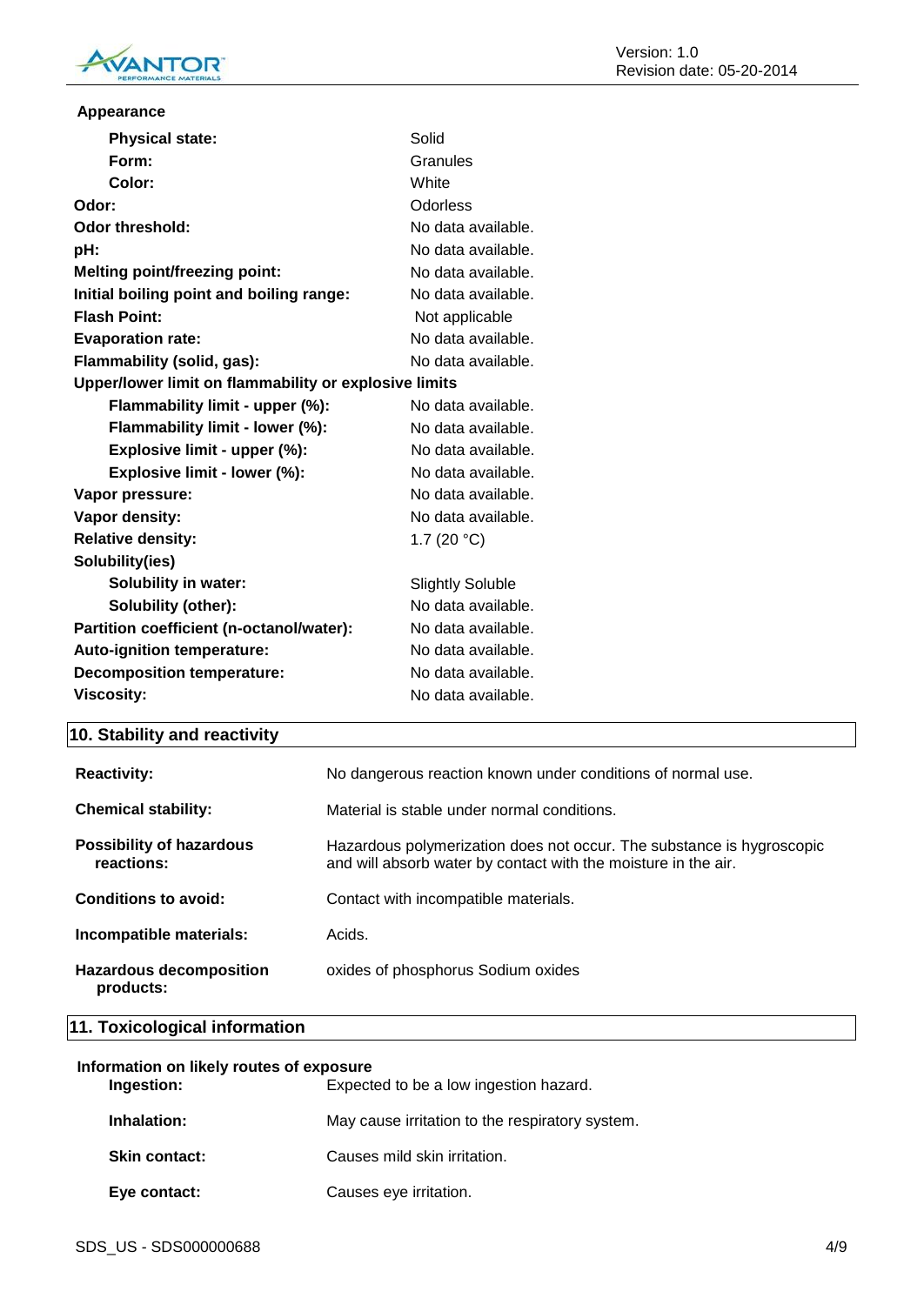

| Appearance                                            |                         |  |
|-------------------------------------------------------|-------------------------|--|
| <b>Physical state:</b>                                | Solid                   |  |
| Form:                                                 | Granules                |  |
| Color:                                                | White                   |  |
| Odor:                                                 | Odorless                |  |
| <b>Odor threshold:</b>                                | No data available.      |  |
| pH:                                                   | No data available.      |  |
| <b>Melting point/freezing point:</b>                  | No data available.      |  |
| Initial boiling point and boiling range:              | No data available.      |  |
| <b>Flash Point:</b>                                   | Not applicable          |  |
| <b>Evaporation rate:</b>                              | No data available.      |  |
| Flammability (solid, gas):                            | No data available.      |  |
| Upper/lower limit on flammability or explosive limits |                         |  |
| Flammability limit - upper (%):                       | No data available.      |  |
| Flammability limit - lower (%):                       | No data available.      |  |
| Explosive limit - upper (%):                          | No data available.      |  |
| Explosive limit - lower (%):                          | No data available.      |  |
| Vapor pressure:                                       | No data available.      |  |
| Vapor density:                                        | No data available.      |  |
| <b>Relative density:</b>                              | 1.7 $(20 °C)$           |  |
| Solubility(ies)                                       |                         |  |
| <b>Solubility in water:</b>                           | <b>Slightly Soluble</b> |  |
| Solubility (other):                                   | No data available.      |  |
| Partition coefficient (n-octanol/water):              | No data available.      |  |
| Auto-ignition temperature:                            | No data available.      |  |
| <b>Decomposition temperature:</b>                     | No data available.      |  |
| <b>Viscosity:</b>                                     | No data available.      |  |

# **10. Stability and reactivity**

| <b>Reactivity:</b>                            | No dangerous reaction known under conditions of normal use.                                                                             |
|-----------------------------------------------|-----------------------------------------------------------------------------------------------------------------------------------------|
| <b>Chemical stability:</b>                    | Material is stable under normal conditions.                                                                                             |
| <b>Possibility of hazardous</b><br>reactions: | Hazardous polymerization does not occur. The substance is hygroscopic<br>and will absorb water by contact with the moisture in the air. |
| Conditions to avoid:                          | Contact with incompatible materials.                                                                                                    |
| Incompatible materials:                       | Acids.                                                                                                                                  |
| <b>Hazardous decomposition</b><br>products:   | oxides of phosphorus Sodium oxides                                                                                                      |

**11. Toxicological information**

| Information on likely routes of exposure<br>Expected to be a low ingestion hazard.<br>Ingestion: |                                                 |
|--------------------------------------------------------------------------------------------------|-------------------------------------------------|
| Inhalation:                                                                                      | May cause irritation to the respiratory system. |
| <b>Skin contact:</b>                                                                             | Causes mild skin irritation.                    |
| Eye contact:                                                                                     | Causes eye irritation.                          |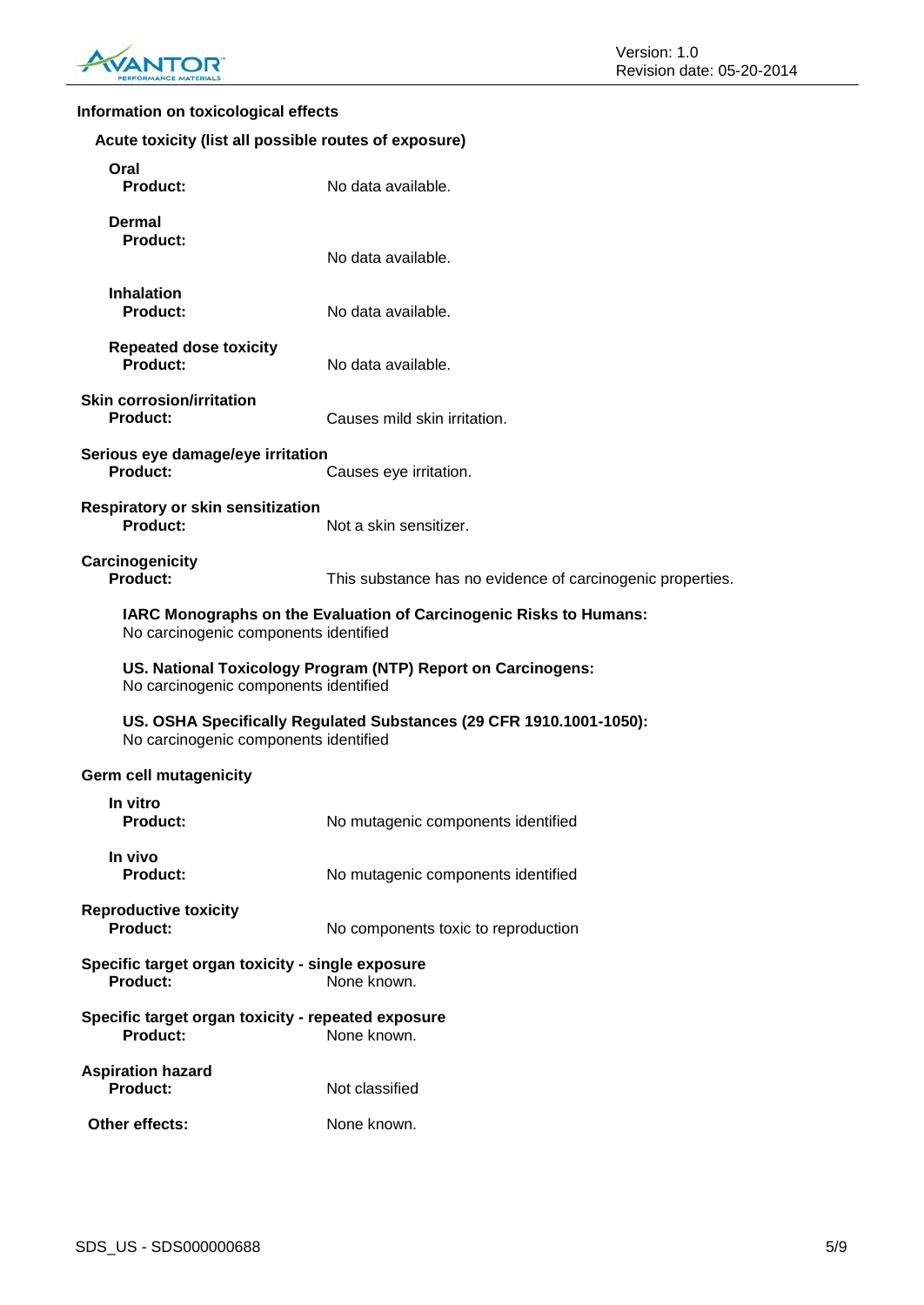

# **Information on toxicological effects**

| Acute toxicity (list all possible routes of exposure)                                                        |                                                            |  |
|--------------------------------------------------------------------------------------------------------------|------------------------------------------------------------|--|
| Oral<br><b>Product:</b>                                                                                      | No data available.                                         |  |
| Dermal<br><b>Product:</b>                                                                                    | No data available.                                         |  |
| <b>Inhalation</b><br><b>Product:</b>                                                                         | No data available.                                         |  |
| <b>Repeated dose toxicity</b><br><b>Product:</b>                                                             | No data available.                                         |  |
| <b>Skin corrosion/irritation</b><br><b>Product:</b>                                                          | Causes mild skin irritation.                               |  |
| Serious eye damage/eye irritation<br><b>Product:</b>                                                         | Causes eye irritation.                                     |  |
| <b>Respiratory or skin sensitization</b><br>Product:                                                         | Not a skin sensitizer.                                     |  |
| Carcinogenicity<br>Product:                                                                                  | This substance has no evidence of carcinogenic properties. |  |
| IARC Monographs on the Evaluation of Carcinogenic Risks to Humans:<br>No carcinogenic components identified  |                                                            |  |
| US. National Toxicology Program (NTP) Report on Carcinogens:<br>No carcinogenic components identified        |                                                            |  |
| US. OSHA Specifically Regulated Substances (29 CFR 1910.1001-1050):<br>No carcinogenic components identified |                                                            |  |
| <b>Germ cell mutagenicity</b>                                                                                |                                                            |  |
| In vitro<br><b>Product:</b>                                                                                  | No mutagenic components identified                         |  |
| In vivo<br><b>Product:</b>                                                                                   | No mutagenic components identified                         |  |
| <b>Reproductive toxicity</b><br><b>Product:</b>                                                              | No components toxic to reproduction                        |  |
| Specific target organ toxicity - single exposure<br><b>Product:</b><br>None known.                           |                                                            |  |
| Specific target organ toxicity - repeated exposure<br><b>Product:</b><br>None known.                         |                                                            |  |
| <b>Aspiration hazard</b><br><b>Product:</b>                                                                  | Not classified                                             |  |
| Other effects:                                                                                               | None known.                                                |  |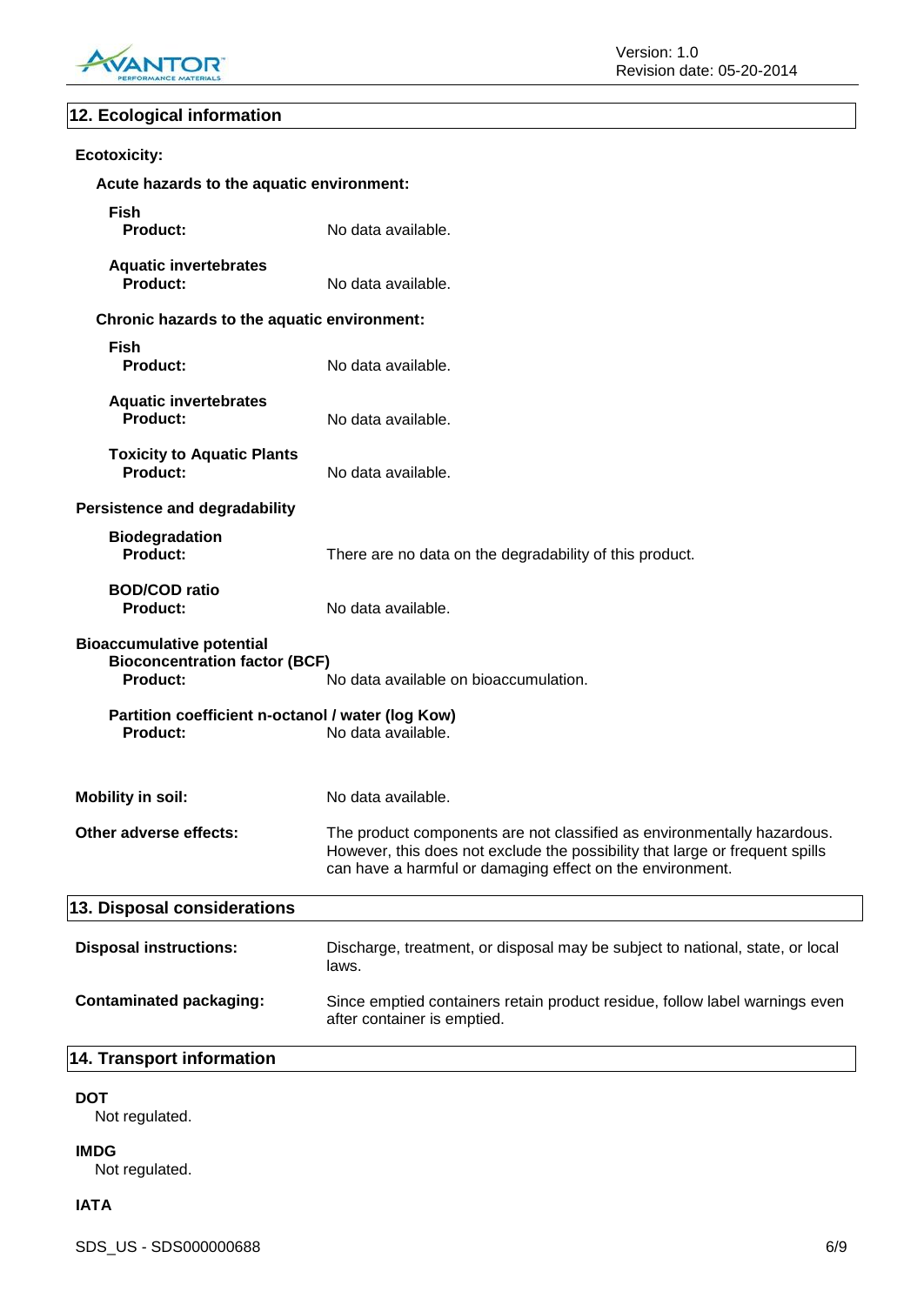

# **12. Ecological information**

| <b>Ecotoxicity:</b>                                                                         |                                                                                                                                                                                                                      |
|---------------------------------------------------------------------------------------------|----------------------------------------------------------------------------------------------------------------------------------------------------------------------------------------------------------------------|
| Acute hazards to the aquatic environment:                                                   |                                                                                                                                                                                                                      |
| <b>Fish</b><br><b>Product:</b>                                                              | No data available.                                                                                                                                                                                                   |
| <b>Aquatic invertebrates</b><br><b>Product:</b>                                             | No data available.                                                                                                                                                                                                   |
| Chronic hazards to the aquatic environment:                                                 |                                                                                                                                                                                                                      |
| <b>Fish</b><br><b>Product:</b>                                                              | No data available.                                                                                                                                                                                                   |
| <b>Aquatic invertebrates</b><br><b>Product:</b>                                             | No data available.                                                                                                                                                                                                   |
| <b>Toxicity to Aquatic Plants</b><br><b>Product:</b>                                        | No data available.                                                                                                                                                                                                   |
| <b>Persistence and degradability</b>                                                        |                                                                                                                                                                                                                      |
| <b>Biodegradation</b><br><b>Product:</b>                                                    | There are no data on the degradability of this product.                                                                                                                                                              |
| <b>BOD/COD ratio</b><br><b>Product:</b>                                                     | No data available.                                                                                                                                                                                                   |
| <b>Bioaccumulative potential</b><br><b>Bioconcentration factor (BCF)</b><br><b>Product:</b> | No data available on bioaccumulation.                                                                                                                                                                                |
| Partition coefficient n-octanol / water (log Kow)<br><b>Product:</b>                        | No data available.                                                                                                                                                                                                   |
| <b>Mobility in soil:</b>                                                                    | No data available.                                                                                                                                                                                                   |
| Other adverse effects:                                                                      | The product components are not classified as environmentally hazardous.<br>However, this does not exclude the possibility that large or frequent spills<br>can have a harmful or damaging effect on the environment. |
| 13. Disposal considerations                                                                 |                                                                                                                                                                                                                      |
| <b>Disposal instructions:</b>                                                               | Discharge, treatment, or disposal may be subject to national, state, or local<br>laws.                                                                                                                               |
| <b>Contaminated packaging:</b>                                                              | Since emptied containers retain product residue, follow label warnings even<br>after container is emptied.                                                                                                           |
| 14. Transport information                                                                   |                                                                                                                                                                                                                      |

#### **DOT**

Not regulated.

#### **IMDG**

Not regulated.

#### **IATA**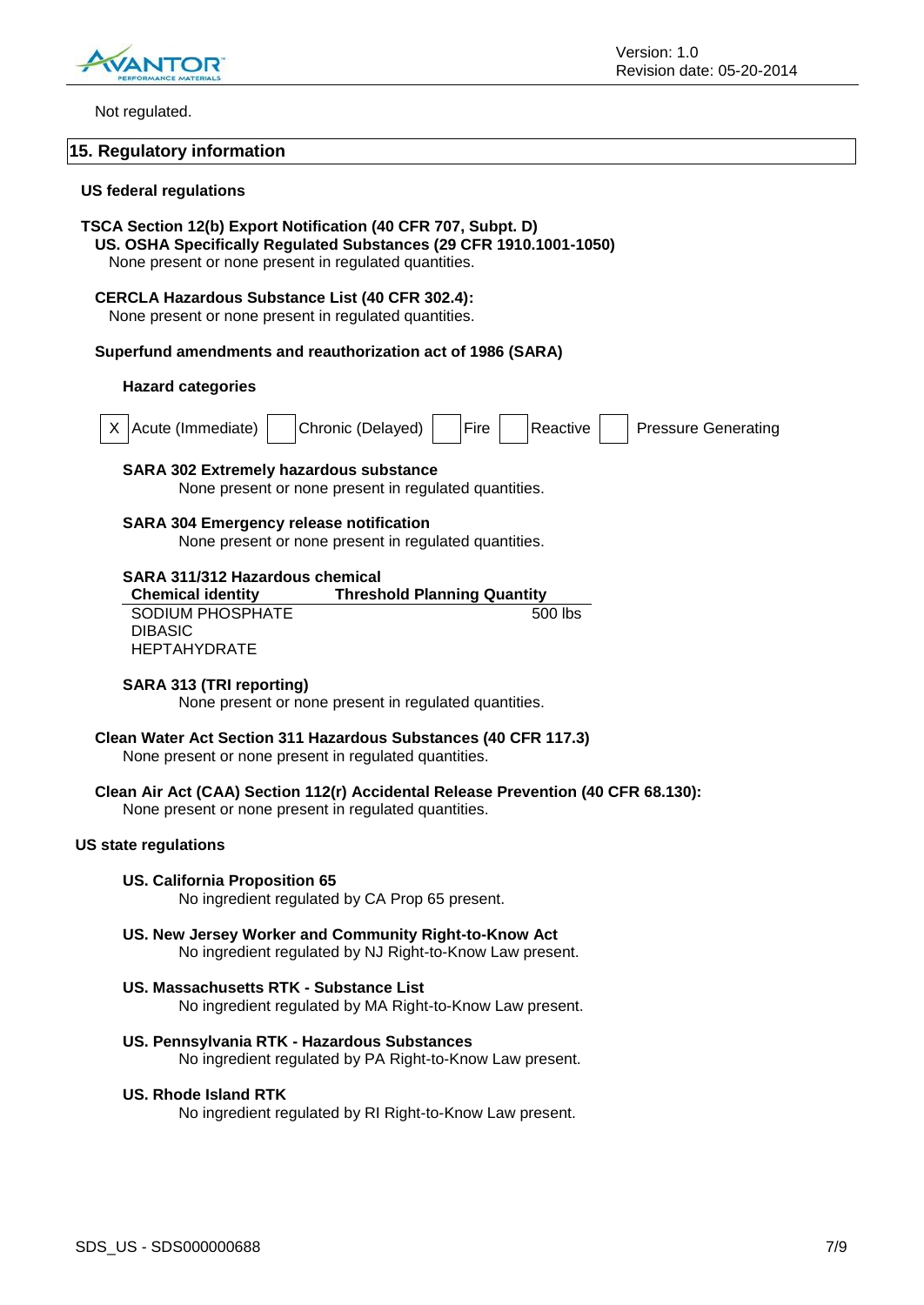

Not regulated.

#### **15. Regulatory information**

#### **US federal regulations**

#### **TSCA Section 12(b) Export Notification (40 CFR 707, Subpt. D)**

**US. OSHA Specifically Regulated Substances (29 CFR 1910.1001-1050)**

None present or none present in regulated quantities.

#### **CERCLA Hazardous Substance List (40 CFR 302.4):**

None present or none present in regulated quantities.

#### **Superfund amendments and reauthorization act of 1986 (SARA)**

#### **Hazard categories**

| X Acute (Immediate) | Chronic (Delayed)   Fire   Reactive |  |  | <b>Pressure Generating</b> |
|---------------------|-------------------------------------|--|--|----------------------------|
|                     |                                     |  |  |                            |

#### **SARA 302 Extremely hazardous substance**

None present or none present in regulated quantities.

#### **SARA 304 Emergency release notification**

None present or none present in regulated quantities.

#### **SARA 311/312 Hazardous chemical**

| <b>Chemical identity</b> | <b>Threshold Planning Quantity</b> |
|--------------------------|------------------------------------|
| SODIUM PHOSPHATE         | 500 lbs                            |
| <b>DIBASIC</b>           |                                    |
| HEPTAHYDRATE             |                                    |

#### **SARA 313 (TRI reporting)**

None present or none present in regulated quantities.

# **Clean Water Act Section 311 Hazardous Substances (40 CFR 117.3)**

None present or none present in regulated quantities.

#### **Clean Air Act (CAA) Section 112(r) Accidental Release Prevention (40 CFR 68.130):**

None present or none present in regulated quantities.

#### **US state regulations**

#### **US. California Proposition 65**

No ingredient regulated by CA Prop 65 present.

- **US. New Jersey Worker and Community Right-to-Know Act** No ingredient regulated by NJ Right-to-Know Law present.
- **US. Massachusetts RTK - Substance List** No ingredient regulated by MA Right-to-Know Law present.

#### **US. Pennsylvania RTK - Hazardous Substances**

No ingredient regulated by PA Right-to-Know Law present.

#### **US. Rhode Island RTK**

No ingredient regulated by RI Right-to-Know Law present.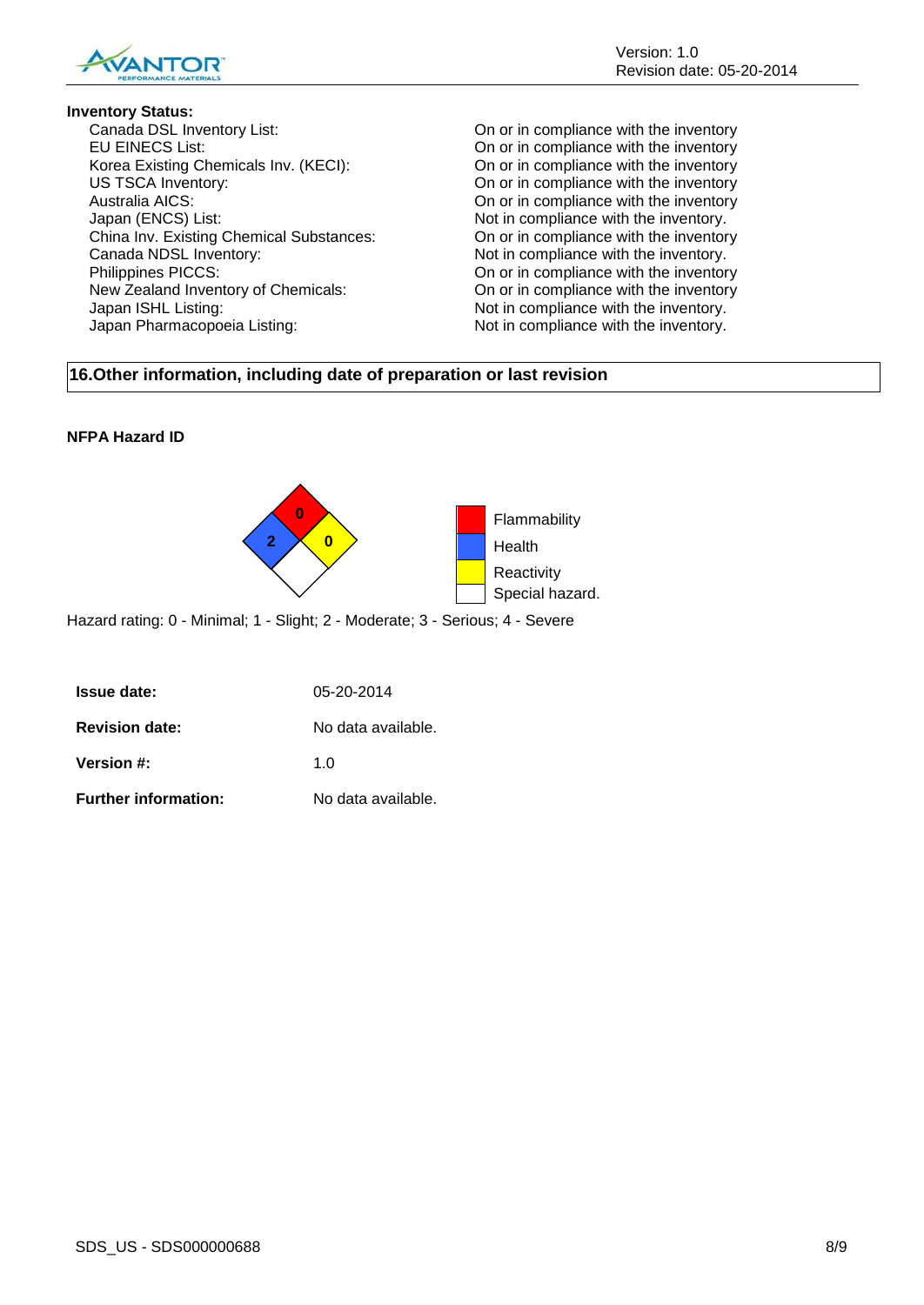

**Inventory Status:**<br>Canada DSL Inventory List: EU EINECS List: On or in compliance with the inventory Korea Existing Chemicals Inv. (KECI): On or in compliance with the inventory US TSCA Inventory: On or in compliance with the inventory Australia AICS: On or in compliance with the inventory Japan (ENCS) List:  $\blacksquare$ China Inv. Existing Chemical Substances: On or in compliance with the inventory Canada NDSL Inventory:  $\blacksquare$  Not in compliance with the inventory. Philippines PICCS: The interest of the interest of the interest of the interest of the interest of the interest of the interest of the interest of the interest of the interest of the interest of the interest of the interes New Zealand Inventory of Chemicals: On or in compliance with the inventory Japan ISHL Listing:  $\blacksquare$ Japan Pharmacopoeia Listing: Not in compliance with the inventory.

On or in compliance with the inventory

#### **16.Other information, including date of preparation or last revision**

#### **NFPA Hazard ID**



Hazard rating: 0 - Minimal; 1 - Slight; 2 - Moderate; 3 - Serious; 4 - Severe

| <b>Issue date:</b>          | 05-20-2014         |
|-----------------------------|--------------------|
| <b>Revision date:</b>       | No data available. |
| <b>Version #:</b>           | 1 በ                |
| <b>Further information:</b> | No data available. |